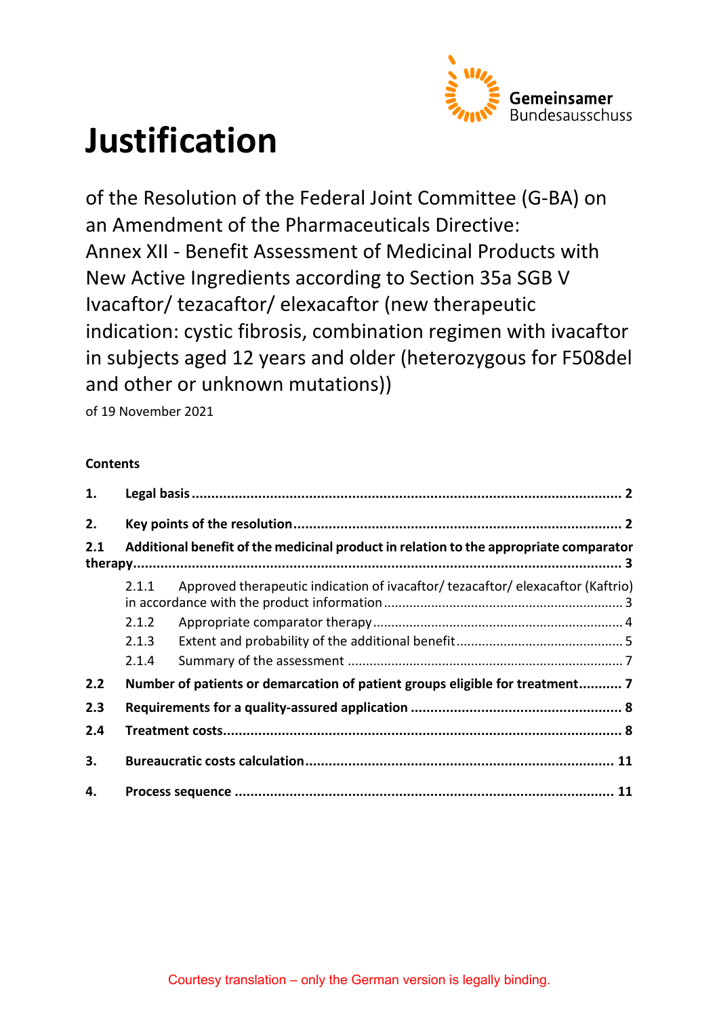

# **Justification**

of the Resolution of the Federal Joint Committee (G-BA) on an Amendment of the Pharmaceuticals Directive: Annex XII - Benefit Assessment of Medicinal Products with New Active Ingredients according to Section 35a SGB V Ivacaftor/ tezacaftor/ elexacaftor (new therapeutic indication: cystic fibrosis, combination regimen with ivacaftor in subjects aged 12 years and older (heterozygous for F508del and other or unknown mutations))

of 19 November 2021

# **Contents**

| 1.  |                                                                              |                                                                                       |  |  |  |
|-----|------------------------------------------------------------------------------|---------------------------------------------------------------------------------------|--|--|--|
| 2.  |                                                                              |                                                                                       |  |  |  |
| 2.1 |                                                                              | Additional benefit of the medicinal product in relation to the appropriate comparator |  |  |  |
|     | 2.1.1                                                                        | Approved therapeutic indication of ivacaftor/ tezacaftor/ elexacaftor (Kaftrio)       |  |  |  |
|     | 2.1.2                                                                        |                                                                                       |  |  |  |
|     | 2.1.3                                                                        |                                                                                       |  |  |  |
|     | 2.1.4                                                                        |                                                                                       |  |  |  |
| 2.2 | Number of patients or demarcation of patient groups eligible for treatment 7 |                                                                                       |  |  |  |
| 2.3 |                                                                              |                                                                                       |  |  |  |
| 2.4 |                                                                              |                                                                                       |  |  |  |
| 3.  |                                                                              |                                                                                       |  |  |  |
| 4.  |                                                                              |                                                                                       |  |  |  |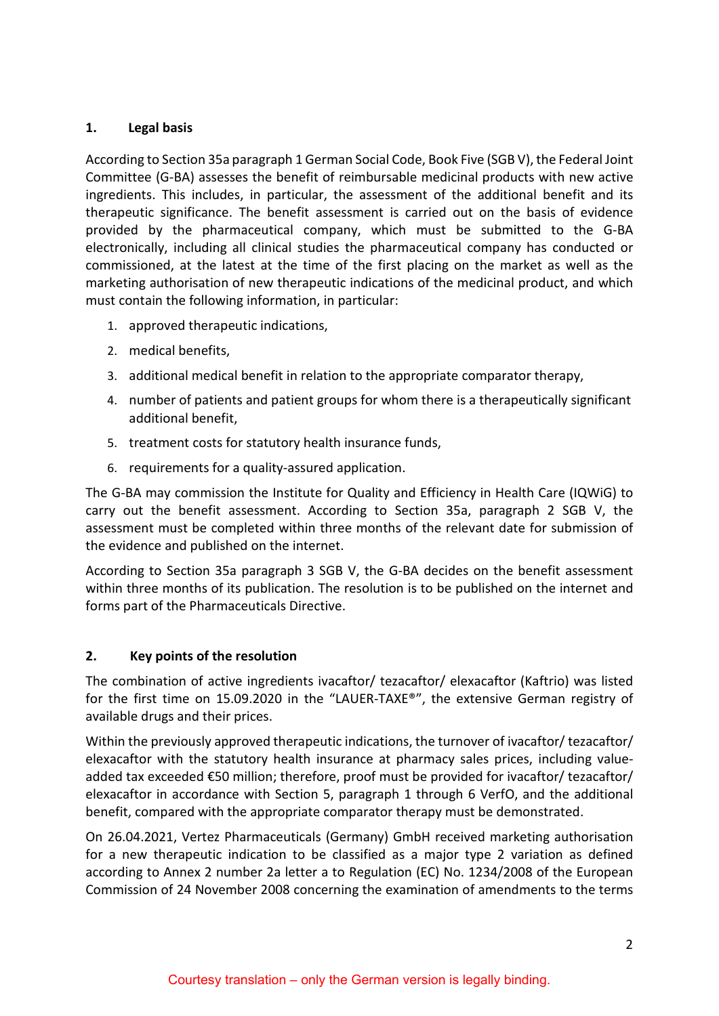## <span id="page-1-0"></span>**1. Legal basis**

According to Section 35a paragraph 1 German Social Code, Book Five (SGB V), the Federal Joint Committee (G-BA) assesses the benefit of reimbursable medicinal products with new active ingredients. This includes, in particular, the assessment of the additional benefit and its therapeutic significance. The benefit assessment is carried out on the basis of evidence provided by the pharmaceutical company, which must be submitted to the G-BA electronically, including all clinical studies the pharmaceutical company has conducted or commissioned, at the latest at the time of the first placing on the market as well as the marketing authorisation of new therapeutic indications of the medicinal product, and which must contain the following information, in particular:

- 1. approved therapeutic indications,
- 2. medical benefits,
- 3. additional medical benefit in relation to the appropriate comparator therapy,
- 4. number of patients and patient groups for whom there is a therapeutically significant additional benefit,
- 5. treatment costs for statutory health insurance funds,
- 6. requirements for a quality-assured application.

The G-BA may commission the Institute for Quality and Efficiency in Health Care (IQWiG) to carry out the benefit assessment. According to Section 35a, paragraph 2 SGB V, the assessment must be completed within three months of the relevant date for submission of the evidence and published on the internet.

According to Section 35a paragraph 3 SGB V, the G-BA decides on the benefit assessment within three months of its publication. The resolution is to be published on the internet and forms part of the Pharmaceuticals Directive.

## <span id="page-1-1"></span>**2. Key points of the resolution**

The combination of active ingredients ivacaftor/ tezacaftor/ elexacaftor (Kaftrio) was listed for the first time on 15.09.2020 in the "LAUER-TAXE®", the extensive German registry of available drugs and their prices.

Within the previously approved therapeutic indications, the turnover of ivacaftor/ tezacaftor/ elexacaftor with the statutory health insurance at pharmacy sales prices, including valueadded tax exceeded €50 million; therefore, proof must be provided for ivacaftor/ tezacaftor/ elexacaftor in accordance with Section 5, paragraph 1 through 6 VerfO, and the additional benefit, compared with the appropriate comparator therapy must be demonstrated.

On 26.04.2021, Vertez Pharmaceuticals (Germany) GmbH received marketing authorisation for a new therapeutic indication to be classified as a major type 2 variation as defined according to Annex 2 number 2a letter a to Regulation (EC) No. 1234/2008 of the European Commission of 24 November 2008 concerning the examination of amendments to the terms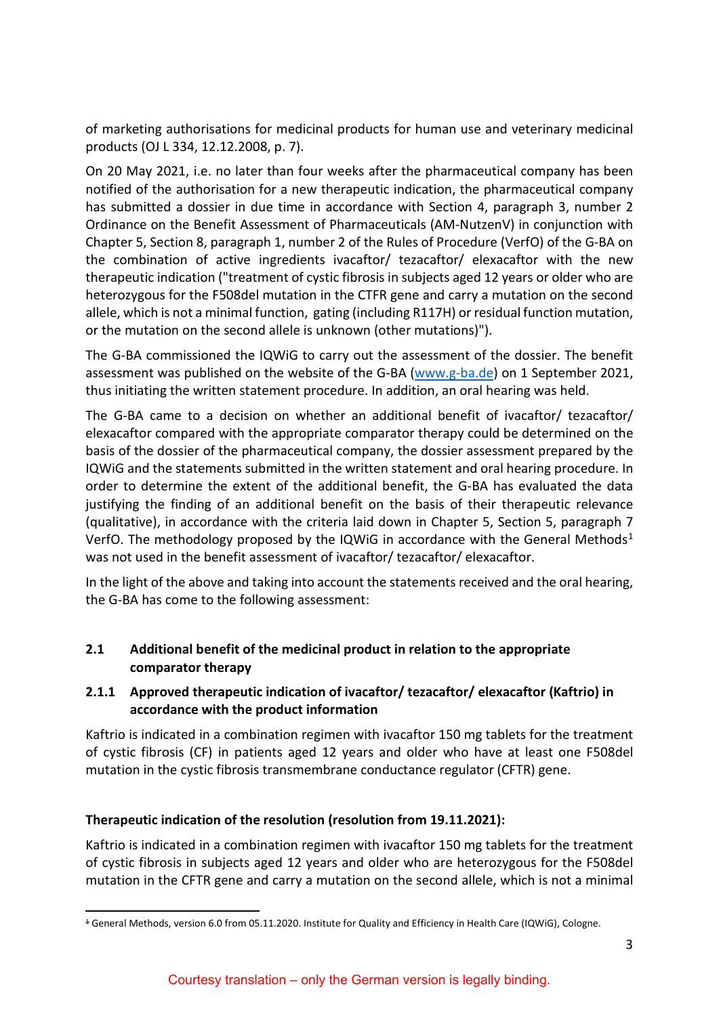of marketing authorisations for medicinal products for human use and veterinary medicinal products (OJ L 334, 12.12.2008, p. 7).

On 20 May 2021, i.e. no later than four weeks after the pharmaceutical company has been notified of the authorisation for a new therapeutic indication, the pharmaceutical company has submitted a dossier in due time in accordance with Section 4, paragraph 3, number 2 Ordinance on the Benefit Assessment of Pharmaceuticals (AM-NutzenV) in conjunction with Chapter 5, Section 8, paragraph 1, number 2 of the Rules of Procedure (VerfO) of the G-BA on the combination of active ingredients ivacaftor/ tezacaftor/ elexacaftor with the new therapeutic indication ("treatment of cystic fibrosis in subjects aged 12 years or older who are heterozygous for the F508del mutation in the CTFR gene and carry a mutation on the second allele, which is not a minimal function, gating (including R117H) or residual function mutation, or the mutation on the second allele is unknown (other mutations)").

The G-BA commissioned the IQWiG to carry out the assessment of the dossier. The benefit assessment was published on the website of the G-BA [\(www.g-ba.de\)](http://www.g-ba.de/) on 1 September 2021, thus initiating the written statement procedure. In addition, an oral hearing was held.

The G-BA came to a decision on whether an additional benefit of ivacaftor/ tezacaftor/ elexacaftor compared with the appropriate comparator therapy could be determined on the basis of the dossier of the pharmaceutical company, the dossier assessment prepared by the IQWiG and the statements submitted in the written statement and oral hearing procedure. In order to determine the extent of the additional benefit, the G-BA has evaluated the data justifying the finding of an additional benefit on the basis of their therapeutic relevance (qualitative), in accordance with the criteria laid down in Chapter 5, Section 5, paragraph 7 VerfO. The methodology proposed by the IQWiG in accordance with the General Methods<sup>[1](#page-2-2)</sup> was not used in the benefit assessment of ivacaftor/ tezacaftor/ elexacaftor.

In the light of the above and taking into account the statements received and the oral hearing, the G-BA has come to the following assessment:

## <span id="page-2-0"></span>**2.1 Additional benefit of the medicinal product in relation to the appropriate comparator therapy**

## <span id="page-2-1"></span>**2.1.1 Approved therapeutic indication of ivacaftor/ tezacaftor/ elexacaftor (Kaftrio) in accordance with the product information**

Kaftrio is indicated in a combination regimen with ivacaftor 150 mg tablets for the treatment of cystic fibrosis (CF) in patients aged 12 years and older who have at least one F508del mutation in the cystic fibrosis transmembrane conductance regulator (CFTR) gene.

## **Therapeutic indication of the resolution (resolution from 19.11.2021):**

Kaftrio is indicated in a combination regimen with ivacaftor 150 mg tablets for the treatment of cystic fibrosis in subjects aged 12 years and older who are heterozygous for the F508del mutation in the CFTR gene and carry a mutation on the second allele, which is not a minimal

<span id="page-2-2"></span> <sup>1</sup> General Methods, version 6.0 from 05.11.2020. Institute for Quality and Efficiency in Health Care (IQWiG), Cologne.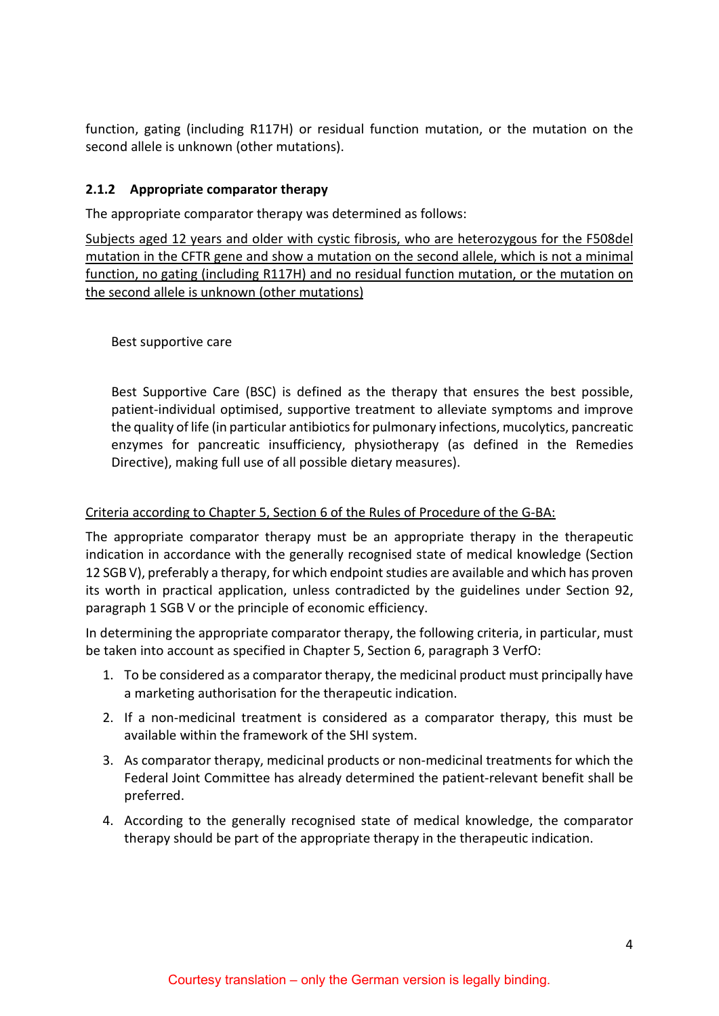function, gating (including R117H) or residual function mutation, or the mutation on the second allele is unknown (other mutations).

#### <span id="page-3-0"></span>**2.1.2 Appropriate comparator therapy**

The appropriate comparator therapy was determined as follows:

Subjects aged 12 years and older with cystic fibrosis, who are heterozygous for the F508del mutation in the CFTR gene and show a mutation on the second allele, which is not a minimal function, no gating (including R117H) and no residual function mutation, or the mutation on the second allele is unknown (other mutations)

#### Best supportive care

Best Supportive Care (BSC) is defined as the therapy that ensures the best possible, patient-individual optimised, supportive treatment to alleviate symptoms and improve the quality of life (in particular antibiotics for pulmonary infections, mucolytics, pancreatic enzymes for pancreatic insufficiency, physiotherapy (as defined in the Remedies Directive), making full use of all possible dietary measures).

#### Criteria according to Chapter 5, Section 6 of the Rules of Procedure of the G-BA:

The appropriate comparator therapy must be an appropriate therapy in the therapeutic indication in accordance with the generally recognised state of medical knowledge (Section 12 SGB V), preferably a therapy, for which endpoint studies are available and which has proven its worth in practical application, unless contradicted by the guidelines under Section 92, paragraph 1 SGB V or the principle of economic efficiency.

In determining the appropriate comparator therapy, the following criteria, in particular, must be taken into account as specified in Chapter 5, Section 6, paragraph 3 VerfO:

- 1. To be considered as a comparator therapy, the medicinal product must principally have a marketing authorisation for the therapeutic indication.
- 2. If a non-medicinal treatment is considered as a comparator therapy, this must be available within the framework of the SHI system.
- 3. As comparator therapy, medicinal products or non-medicinal treatments for which the Federal Joint Committee has already determined the patient-relevant benefit shall be preferred.
- 4. According to the generally recognised state of medical knowledge, the comparator therapy should be part of the appropriate therapy in the therapeutic indication.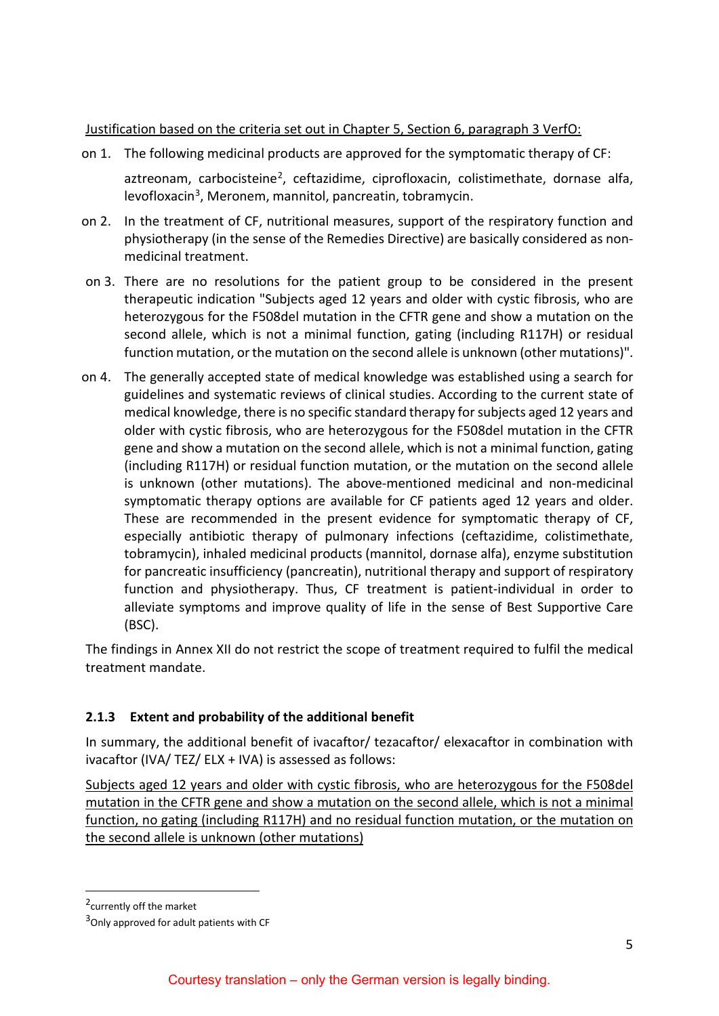#### Justification based on the criteria set out in Chapter 5, Section 6, paragraph 3 VerfO:

- on 1. The following medicinal products are approved for the symptomatic therapy of CF: aztreonam, carbocisteine<sup>[2](#page-4-1)</sup>, ceftazidime, ciprofloxacin, colistimethate, dornase alfa, levofloxacin<sup>3</sup>, Meronem, mannitol, pancreatin, tobramycin.
- on 2. In the treatment of CF, nutritional measures, support of the respiratory function and physiotherapy (in the sense of the Remedies Directive) are basically considered as nonmedicinal treatment.
- on 3. There are no resolutions for the patient group to be considered in the present therapeutic indication "Subjects aged 12 years and older with cystic fibrosis, who are heterozygous for the F508del mutation in the CFTR gene and show a mutation on the second allele, which is not a minimal function, gating (including R117H) or residual function mutation, or the mutation on the second allele is unknown (other mutations)".
- on 4. The generally accepted state of medical knowledge was established using a search for guidelines and systematic reviews of clinical studies. According to the current state of medical knowledge, there is no specific standard therapy for subjects aged 12 years and older with cystic fibrosis, who are heterozygous for the F508del mutation in the CFTR gene and show a mutation on the second allele, which is not a minimal function, gating (including R117H) or residual function mutation, or the mutation on the second allele is unknown (other mutations). The above-mentioned medicinal and non-medicinal symptomatic therapy options are available for CF patients aged 12 years and older. These are recommended in the present evidence for symptomatic therapy of CF, especially antibiotic therapy of pulmonary infections (ceftazidime, colistimethate, tobramycin), inhaled medicinal products (mannitol, dornase alfa), enzyme substitution for pancreatic insufficiency (pancreatin), nutritional therapy and support of respiratory function and physiotherapy. Thus, CF treatment is patient-individual in order to alleviate symptoms and improve quality of life in the sense of Best Supportive Care (BSC).

The findings in Annex XII do not restrict the scope of treatment required to fulfil the medical treatment mandate.

## <span id="page-4-0"></span>**2.1.3 Extent and probability of the additional benefit**

In summary, the additional benefit of ivacaftor/ tezacaftor/ elexacaftor in combination with ivacaftor (IVA/ TEZ/ ELX + IVA) is assessed as follows:

Subjects aged 12 years and older with cystic fibrosis, who are heterozygous for the F508del mutation in the CFTR gene and show a mutation on the second allele, which is not a minimal function, no gating (including R117H) and no residual function mutation, or the mutation on the second allele is unknown (other mutations)

<span id="page-4-1"></span><sup>&</sup>lt;sup>2</sup> currently off the market

<span id="page-4-2"></span><sup>&</sup>lt;sup>3</sup>Only approved for adult patients with CF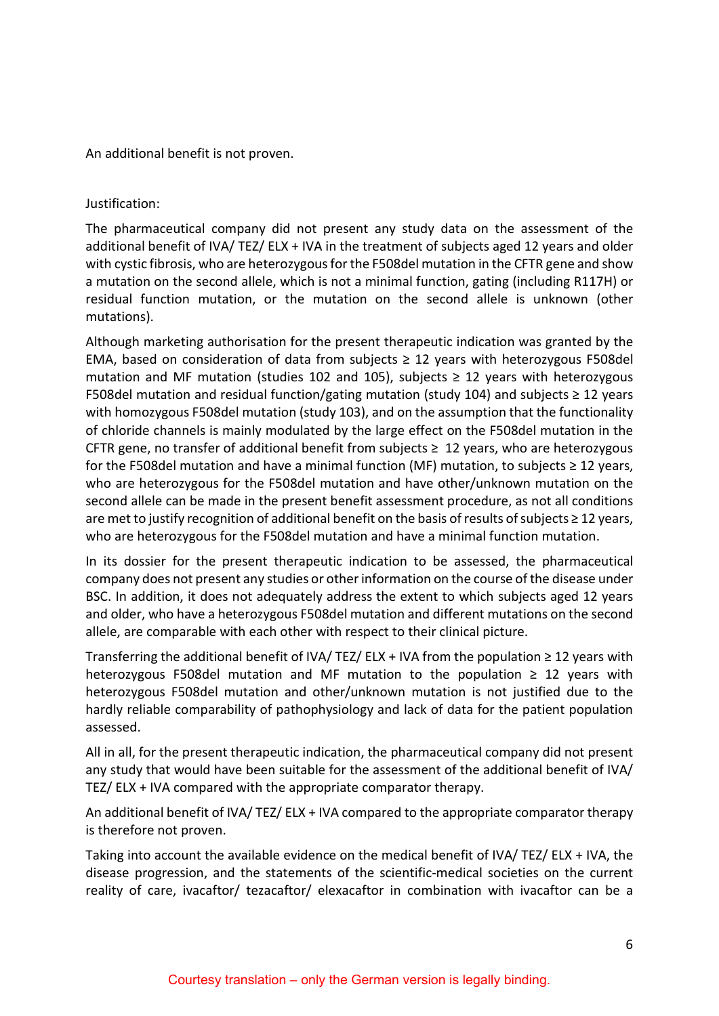An additional benefit is not proven.

Justification:

The pharmaceutical company did not present any study data on the assessment of the additional benefit of IVA/ TEZ/ ELX + IVA in the treatment of subjects aged 12 years and older with cystic fibrosis, who are heterozygous for the F508del mutation in the CFTR gene and show a mutation on the second allele, which is not a minimal function, gating (including R117H) or residual function mutation, or the mutation on the second allele is unknown (other mutations).

Although marketing authorisation for the present therapeutic indication was granted by the EMA, based on consideration of data from subjects  $\geq$  12 years with heterozygous F508del mutation and MF mutation (studies 102 and 105), subjects  $\geq$  12 years with heterozygous F508del mutation and residual function/gating mutation (study 104) and subjects  $\geq$  12 years with homozygous F508del mutation (study 103), and on the assumption that the functionality of chloride channels is mainly modulated by the large effect on the F508del mutation in the CFTR gene, no transfer of additional benefit from subjects  $\geq 12$  years, who are heterozygous for the F508del mutation and have a minimal function (MF) mutation, to subjects ≥ 12 years, who are heterozygous for the F508del mutation and have other/unknown mutation on the second allele can be made in the present benefit assessment procedure, as not all conditions are met to justify recognition of additional benefit on the basis of results of subjects ≥ 12 years, who are heterozygous for the F508del mutation and have a minimal function mutation.

In its dossier for the present therapeutic indication to be assessed, the pharmaceutical company does not present any studies or other information on the course of the disease under BSC. In addition, it does not adequately address the extent to which subjects aged 12 years and older, who have a heterozygous F508del mutation and different mutations on the second allele, are comparable with each other with respect to their clinical picture.

Transferring the additional benefit of IVA/ TEZ/ ELX + IVA from the population  $\geq 12$  years with heterozygous F508del mutation and MF mutation to the population  $\geq 12$  years with heterozygous F508del mutation and other/unknown mutation is not justified due to the hardly reliable comparability of pathophysiology and lack of data for the patient population assessed.

All in all, for the present therapeutic indication, the pharmaceutical company did not present any study that would have been suitable for the assessment of the additional benefit of IVA/ TEZ/ ELX + IVA compared with the appropriate comparator therapy.

An additional benefit of IVA/ TEZ/ ELX + IVA compared to the appropriate comparator therapy is therefore not proven.

Taking into account the available evidence on the medical benefit of IVA/ TEZ/ ELX + IVA, the disease progression, and the statements of the scientific-medical societies on the current reality of care, ivacaftor/ tezacaftor/ elexacaftor in combination with ivacaftor can be a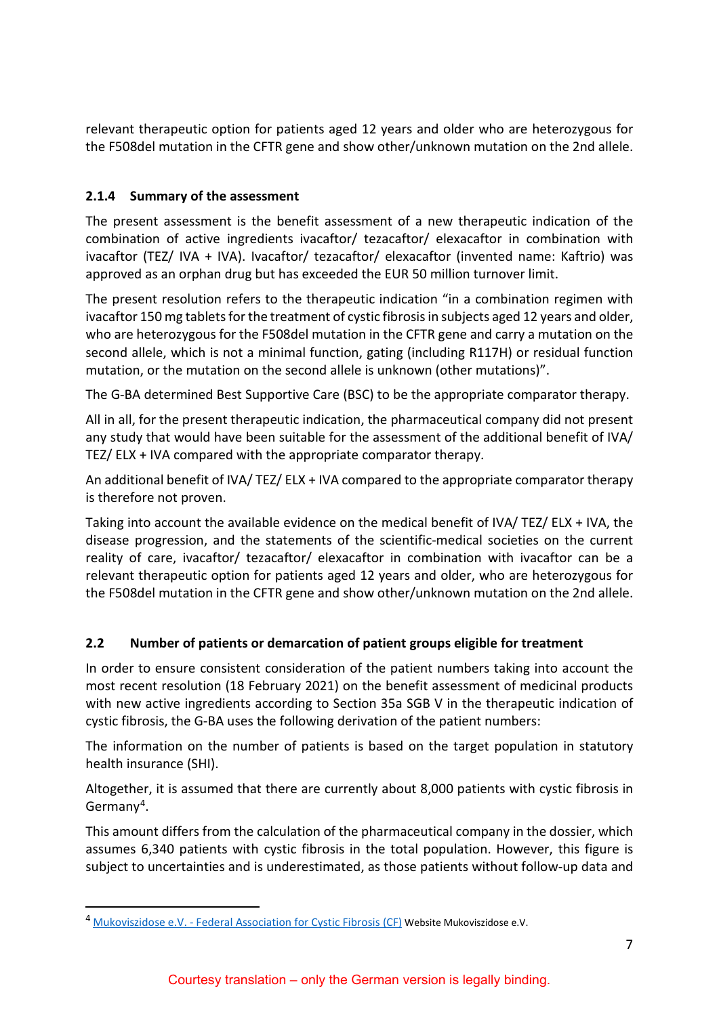relevant therapeutic option for patients aged 12 years and older who are heterozygous for the F508del mutation in the CFTR gene and show other/unknown mutation on the 2nd allele.

## <span id="page-6-0"></span>**2.1.4 Summary of the assessment**

The present assessment is the benefit assessment of a new therapeutic indication of the combination of active ingredients ivacaftor/ tezacaftor/ elexacaftor in combination with ivacaftor (TEZ/ IVA + IVA). Ivacaftor/ tezacaftor/ elexacaftor (invented name: Kaftrio) was approved as an orphan drug but has exceeded the EUR 50 million turnover limit.

The present resolution refers to the therapeutic indication "in a combination regimen with ivacaftor 150 mg tablets for the treatment of cystic fibrosis in subjects aged 12 years and older, who are heterozygous for the F508del mutation in the CFTR gene and carry a mutation on the second allele, which is not a minimal function, gating (including R117H) or residual function mutation, or the mutation on the second allele is unknown (other mutations)".

The G-BA determined Best Supportive Care (BSC) to be the appropriate comparator therapy.

All in all, for the present therapeutic indication, the pharmaceutical company did not present any study that would have been suitable for the assessment of the additional benefit of IVA/ TEZ/ ELX + IVA compared with the appropriate comparator therapy.

An additional benefit of IVA/ TEZ/ ELX + IVA compared to the appropriate comparator therapy is therefore not proven.

Taking into account the available evidence on the medical benefit of IVA/ TEZ/ ELX + IVA, the disease progression, and the statements of the scientific-medical societies on the current reality of care, ivacaftor/ tezacaftor/ elexacaftor in combination with ivacaftor can be a relevant therapeutic option for patients aged 12 years and older, who are heterozygous for the F508del mutation in the CFTR gene and show other/unknown mutation on the 2nd allele.

# <span id="page-6-1"></span>**2.2 Number of patients or demarcation of patient groups eligible for treatment**

In order to ensure consistent consideration of the patient numbers taking into account the most recent resolution (18 February 2021) on the benefit assessment of medicinal products with new active ingredients according to Section 35a SGB V in the therapeutic indication of cystic fibrosis, the G-BA uses the following derivation of the patient numbers:

The information on the number of patients is based on the target population in statutory health insurance (SHI).

Altogether, it is assumed that there are currently about 8,000 patients with cystic fibrosis in Germany<sup>[4](#page-6-2)</sup>.

This amount differs from the calculation of the pharmaceutical company in the dossier, which assumes 6,340 patients with cystic fibrosis in the total population. However, this figure is subject to uncertainties and is underestimated, as those patients without follow-up data and

<span id="page-6-2"></span> <sup>4</sup> Mukoviszidose e.V. - [Federal Association for Cystic Fibrosis \(CF\)](https://www.muko.info/) Website Mukoviszidose e.V.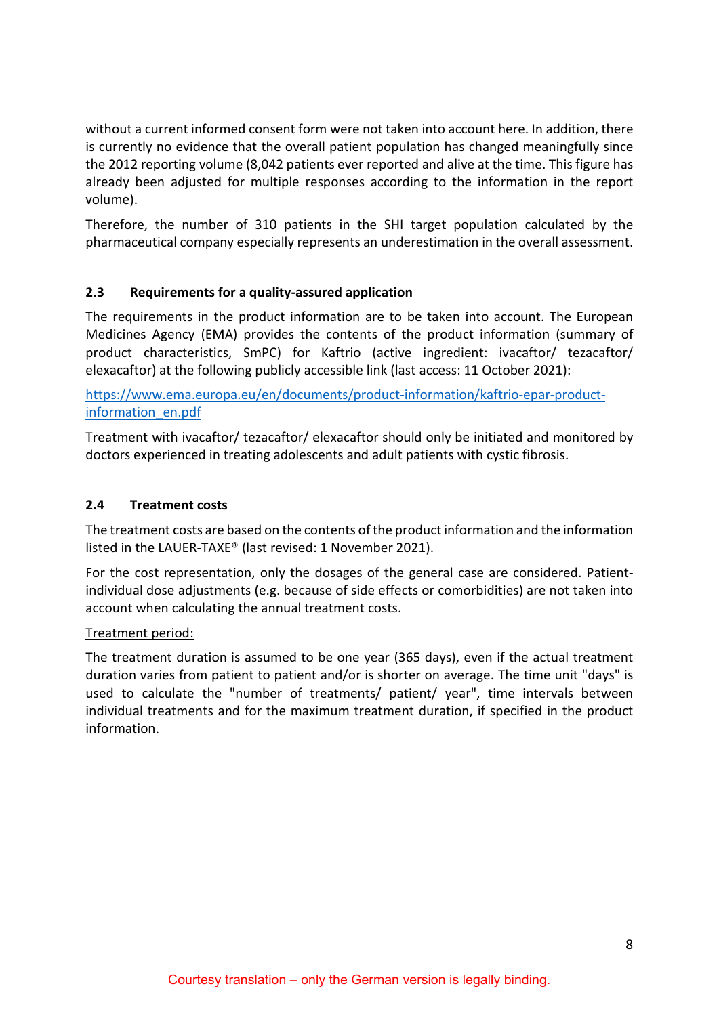without a current informed consent form were not taken into account here. In addition, there is currently no evidence that the overall patient population has changed meaningfully since the 2012 reporting volume (8,042 patients ever reported and alive at the time. This figure has already been adjusted for multiple responses according to the information in the report volume).

Therefore, the number of 310 patients in the SHI target population calculated by the pharmaceutical company especially represents an underestimation in the overall assessment.

## <span id="page-7-0"></span>**2.3 Requirements for a quality-assured application**

The requirements in the product information are to be taken into account. The European Medicines Agency (EMA) provides the contents of the product information (summary of product characteristics, SmPC) for Kaftrio (active ingredient: ivacaftor/ tezacaftor/ elexacaftor) at the following publicly accessible link (last access: 11 October 2021):

[https://www.ema.europa.eu/en/documents/product-information/kaftrio-epar-product](https://www.ema.europa.eu/en/documents/product-information/kaftrio-epar-product-information_en.pdf)[information\\_en.pdf](https://www.ema.europa.eu/en/documents/product-information/kaftrio-epar-product-information_en.pdf)

Treatment with ivacaftor/ tezacaftor/ elexacaftor should only be initiated and monitored by doctors experienced in treating adolescents and adult patients with cystic fibrosis.

## <span id="page-7-1"></span>**2.4 Treatment costs**

The treatment costs are based on the contents of the product information and the information listed in the LAUER-TAXE® (last revised: 1 November 2021).

For the cost representation, only the dosages of the general case are considered. Patientindividual dose adjustments (e.g. because of side effects or comorbidities) are not taken into account when calculating the annual treatment costs.

## Treatment period:

The treatment duration is assumed to be one year (365 days), even if the actual treatment duration varies from patient to patient and/or is shorter on average. The time unit "days" is used to calculate the "number of treatments/ patient/ year", time intervals between individual treatments and for the maximum treatment duration, if specified in the product information.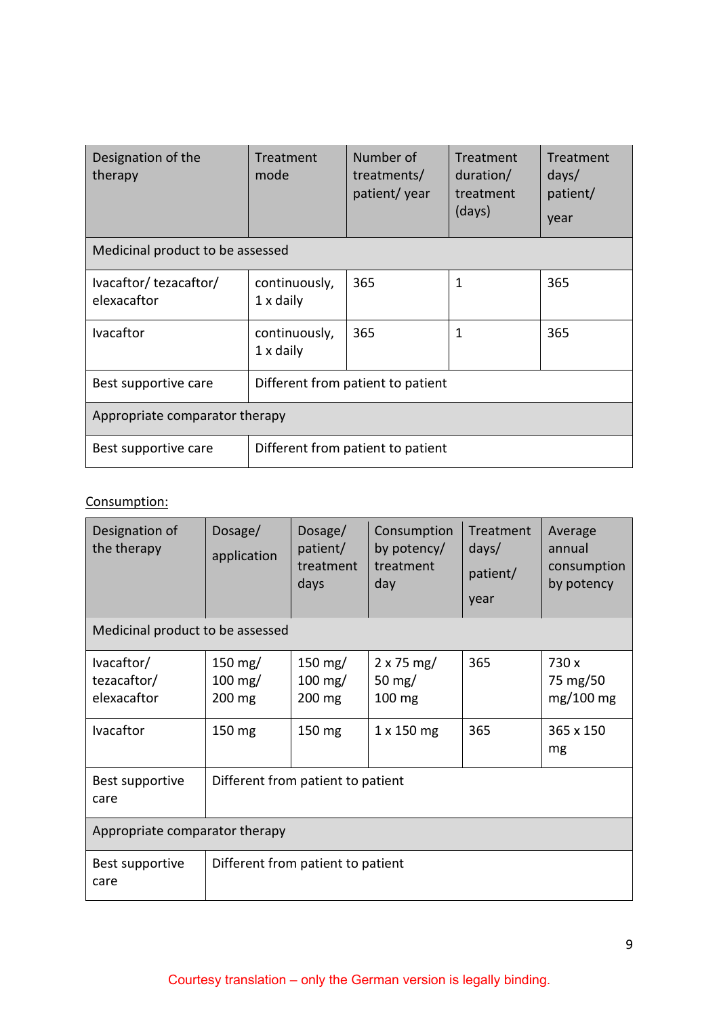| Designation of the<br>therapy                             | Treatment<br>mode                 | Number of<br>treatments/<br>patient/ year | Treatment<br>duration/<br>treatment<br>(days) | Treatment<br>days/<br>patient/<br>year |  |
|-----------------------------------------------------------|-----------------------------------|-------------------------------------------|-----------------------------------------------|----------------------------------------|--|
| Medicinal product to be assessed                          |                                   |                                           |                                               |                                        |  |
| Ivacaftor/tezacaftor/<br>elexacaftor                      | continuously,<br>$1 \times$ daily | 365                                       | 1                                             | 365                                    |  |
| <b>Ivacaftor</b>                                          | continuously,<br>$1 \times$ daily | 365                                       | 1                                             | 365                                    |  |
| Best supportive care                                      | Different from patient to patient |                                           |                                               |                                        |  |
| Appropriate comparator therapy                            |                                   |                                           |                                               |                                        |  |
| Different from patient to patient<br>Best supportive care |                                   |                                           |                                               |                                        |  |

# Consumption:

| Designation of<br>the therapy            | Dosage/<br>application                  | Dosage/<br>patient/<br>treatment<br>days | Consumption<br>by potency/<br>treatment<br>day | Treatment<br>days/<br>patient/<br>year | Average<br>annual<br>consumption<br>by potency |
|------------------------------------------|-----------------------------------------|------------------------------------------|------------------------------------------------|----------------------------------------|------------------------------------------------|
| Medicinal product to be assessed         |                                         |                                          |                                                |                                        |                                                |
| lvacaftor/<br>tezacaftor/<br>elexacaftor | 150 $mg/$<br>$100 \text{ mg}$<br>200 mg | 150 $mg/$<br>$100 \text{ mg}$<br>200 mg  | $2 \times 75$ mg/<br>50 $mg/$<br>100 mg        | 365                                    | 730 x<br>75 mg/50<br>$mg/100$ mg               |
| Ivacaftor                                | 150 mg                                  | 150 mg                                   | 1 x 150 mg                                     | 365                                    | 365 x 150<br>mg                                |
| Best supportive<br>care                  | Different from patient to patient       |                                          |                                                |                                        |                                                |
| Appropriate comparator therapy           |                                         |                                          |                                                |                                        |                                                |
| Best supportive<br>care                  | Different from patient to patient       |                                          |                                                |                                        |                                                |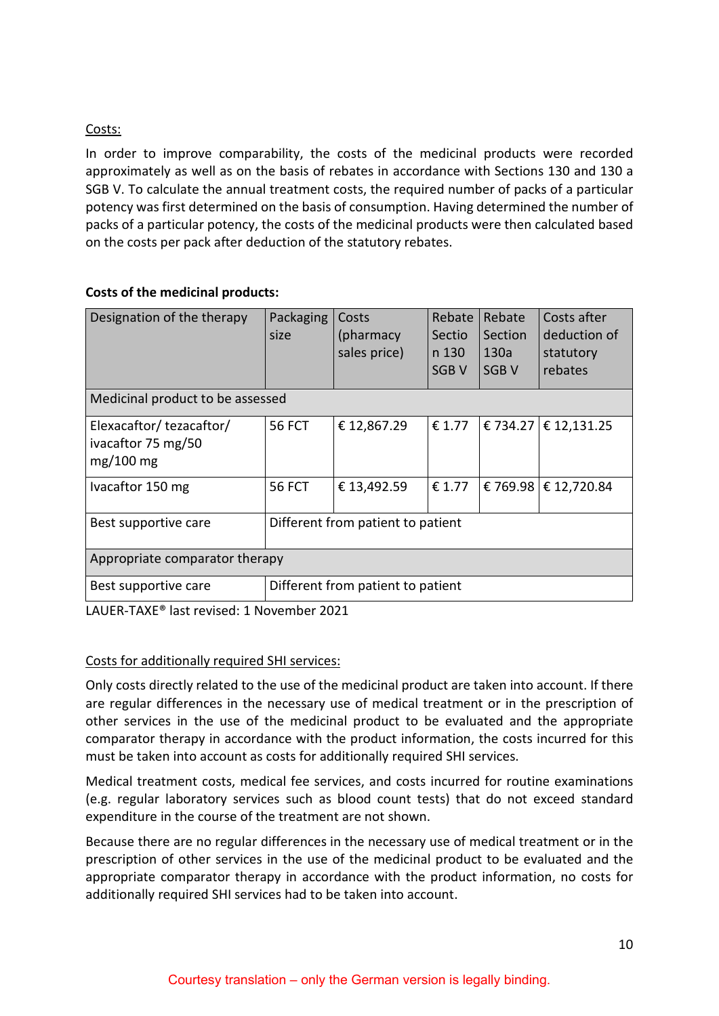## Costs:

In order to improve comparability, the costs of the medicinal products were recorded approximately as well as on the basis of rebates in accordance with Sections 130 and 130 a SGB V. To calculate the annual treatment costs, the required number of packs of a particular potency was first determined on the basis of consumption. Having determined the number of packs of a particular potency, the costs of the medicinal products were then calculated based on the costs per pack after deduction of the statutory rebates.

## **Costs of the medicinal products:**

| Designation of the therapy                                   | Packaging<br>size                 | Costs<br>(pharmacy<br>sales price) | Rebate<br><b>Sectio</b><br>n 130<br>SGB <sub>V</sub> | Rebate<br>Section<br>130a<br>SGB <sub>V</sub> | Costs after<br>deduction of<br>statutory<br>rebates |
|--------------------------------------------------------------|-----------------------------------|------------------------------------|------------------------------------------------------|-----------------------------------------------|-----------------------------------------------------|
| Medicinal product to be assessed                             |                                   |                                    |                                                      |                                               |                                                     |
| Elexacaftor/tezacaftor/<br>ivacaftor 75 mg/50<br>$mg/100$ mg | <b>56 FCT</b>                     | €12,867.29                         | € 1.77                                               |                                               | € 734.27   € 12,131.25                              |
| Ivacaftor 150 mg                                             | <b>56 FCT</b>                     | € 13,492.59                        | € 1.77                                               |                                               | € 769.98   € 12,720.84                              |
| Best supportive care                                         | Different from patient to patient |                                    |                                                      |                                               |                                                     |
| Appropriate comparator therapy                               |                                   |                                    |                                                      |                                               |                                                     |
| Different from patient to patient<br>Best supportive care    |                                   |                                    |                                                      |                                               |                                                     |

LAUER-TAXE® last revised: 1 November 2021

## Costs for additionally required SHI services:

Only costs directly related to the use of the medicinal product are taken into account. If there are regular differences in the necessary use of medical treatment or in the prescription of other services in the use of the medicinal product to be evaluated and the appropriate comparator therapy in accordance with the product information, the costs incurred for this must be taken into account as costs for additionally required SHI services.

Medical treatment costs, medical fee services, and costs incurred for routine examinations (e.g. regular laboratory services such as blood count tests) that do not exceed standard expenditure in the course of the treatment are not shown.

Because there are no regular differences in the necessary use of medical treatment or in the prescription of other services in the use of the medicinal product to be evaluated and the appropriate comparator therapy in accordance with the product information, no costs for additionally required SHI services had to be taken into account.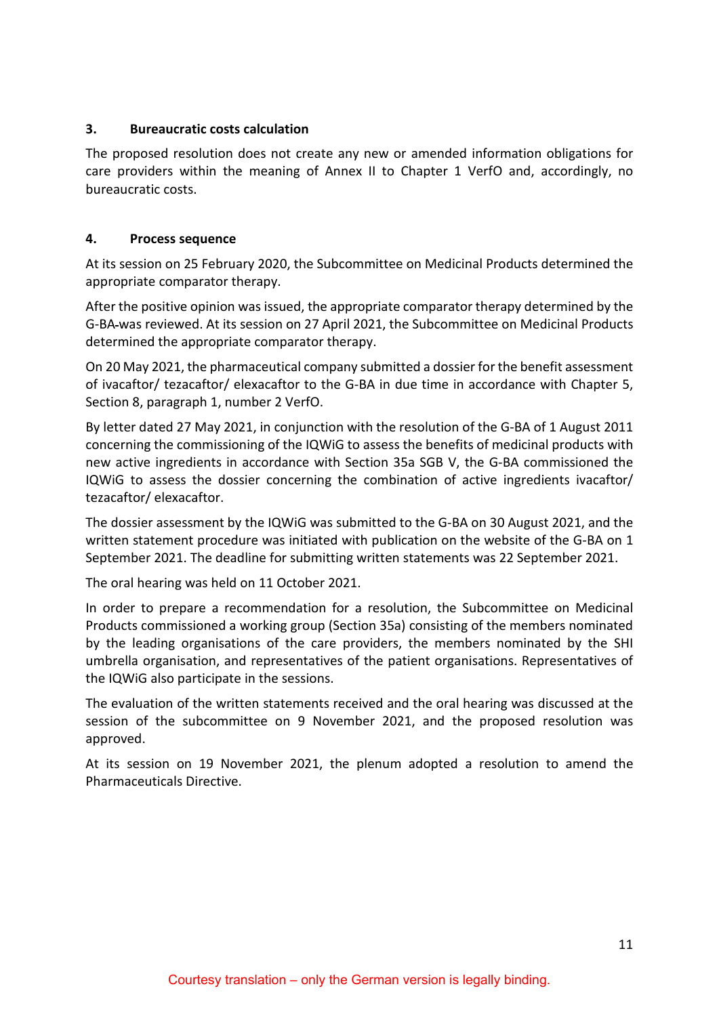#### <span id="page-10-0"></span>**3. Bureaucratic costs calculation**

The proposed resolution does not create any new or amended information obligations for care providers within the meaning of Annex II to Chapter 1 VerfO and, accordingly, no bureaucratic costs.

#### <span id="page-10-1"></span>**4. Process sequence**

At its session on 25 February 2020, the Subcommittee on Medicinal Products determined the appropriate comparator therapy.

After the positive opinion was issued, the appropriate comparator therapy determined by the G-BA was reviewed. At its session on 27 April 2021, the Subcommittee on Medicinal Products determined the appropriate comparator therapy.

On 20 May 2021, the pharmaceutical company submitted a dossier for the benefit assessment of ivacaftor/ tezacaftor/ elexacaftor to the G-BA in due time in accordance with Chapter 5, Section 8, paragraph 1, number 2 VerfO.

By letter dated 27 May 2021, in conjunction with the resolution of the G-BA of 1 August 2011 concerning the commissioning of the IQWiG to assess the benefits of medicinal products with new active ingredients in accordance with Section 35a SGB V, the G-BA commissioned the IQWiG to assess the dossier concerning the combination of active ingredients ivacaftor/ tezacaftor/ elexacaftor.

The dossier assessment by the IQWiG was submitted to the G-BA on 30 August 2021, and the written statement procedure was initiated with publication on the website of the G-BA on 1 September 2021. The deadline for submitting written statements was 22 September 2021.

The oral hearing was held on 11 October 2021.

In order to prepare a recommendation for a resolution, the Subcommittee on Medicinal Products commissioned a working group (Section 35a) consisting of the members nominated by the leading organisations of the care providers, the members nominated by the SHI umbrella organisation, and representatives of the patient organisations. Representatives of the IQWiG also participate in the sessions.

The evaluation of the written statements received and the oral hearing was discussed at the session of the subcommittee on 9 November 2021, and the proposed resolution was approved.

At its session on 19 November 2021, the plenum adopted a resolution to amend the Pharmaceuticals Directive.